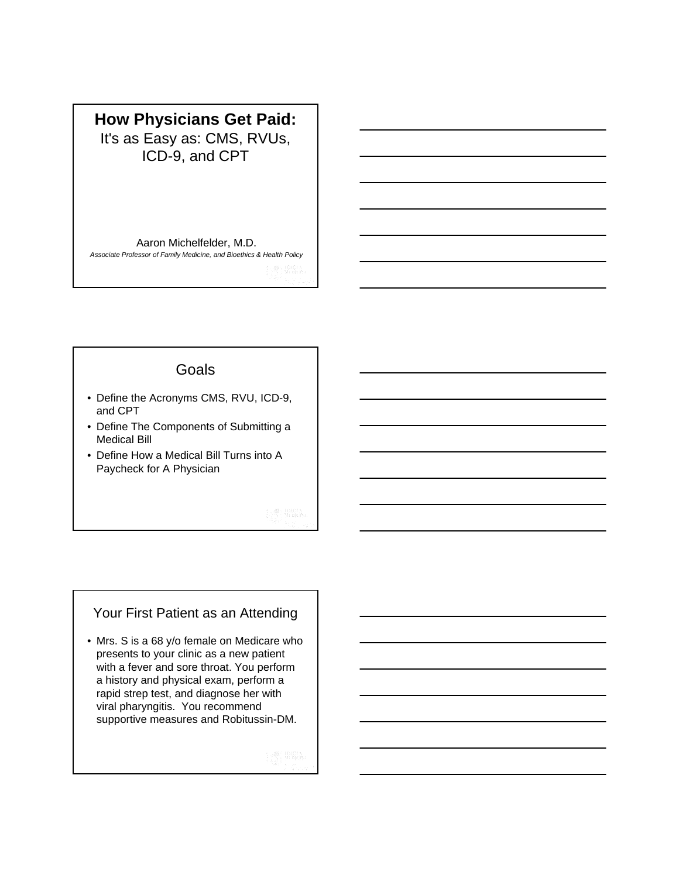## **How Physicians Get Paid:**  It's as Easy as: CMS, RVUs, ICD-9, and CPT

Aaron Michelfelder, M.D.

*Associate Professor of Family Medicine, and Bioethics & Health Policy*

### **Goals**

- Define the Acronyms CMS, RVU, ICD-9, and CPT
- Define The Components of Submitting a Medical Bill
- Define How a Medical Bill Turns into A Paycheck for A Physician

### Your First Patient as an Attending

• Mrs. S is a 68 y/o female on Medicare who presents to your clinic as a new patient with a fever and sore throat. You perform a history and physical exam, perform a rapid strep test, and diagnose her with viral pharyngitis. You recommend supportive measures and Robitussin-DM.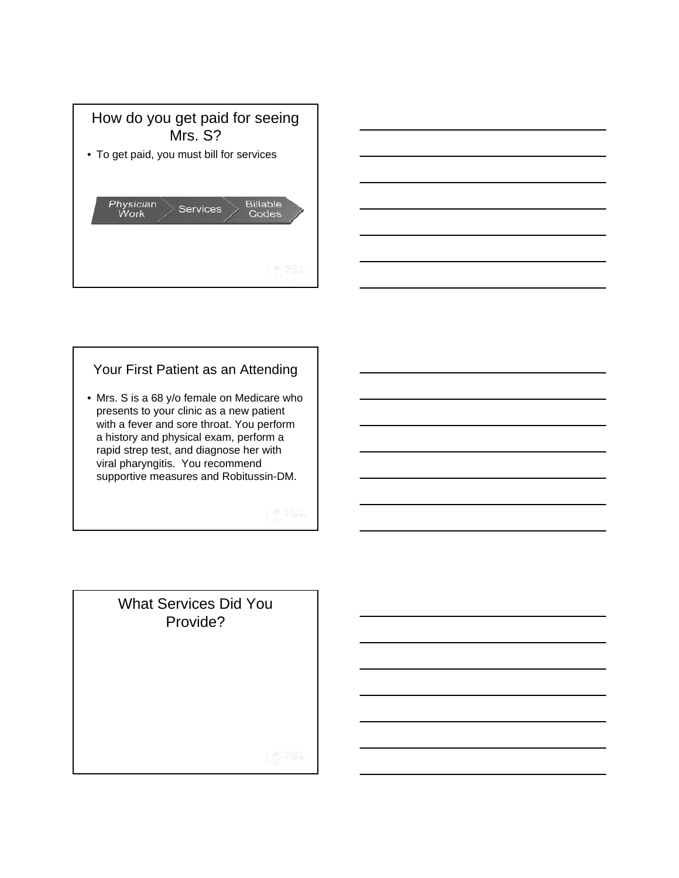



### Your First Patient as an Attending

• Mrs. S is a 68 y/o female on Medicare who presents to your clinic as a new patient with a fever and sore throat. You perform a history and physical exam, perform a rapid strep test, and diagnose her with viral pharyngitis. You recommend supportive measures and Robitussin-DM.

What Services Did You Provide?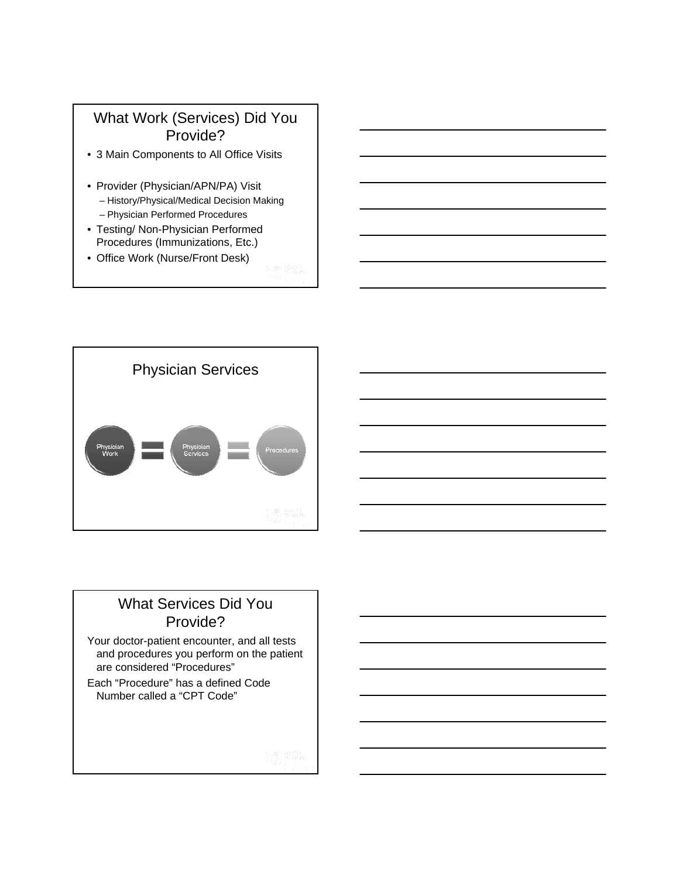

- 3 Main Components to All Office Visits
- Provider (Physician/APN/PA) Visit – History/Physical/Medical Decision Making
	- Physician Performed Procedures
- Testing/ Non-Physician Performed Procedures (Immunizations, Etc.)
- Office Work (Nurse/Front Desk)



## What Services Did You Provide?

Your doctor-patient encounter, and all tests and procedures you perform on the patient are considered "Procedures"

Each "Procedure" has a defined Code Number called a "CPT Code"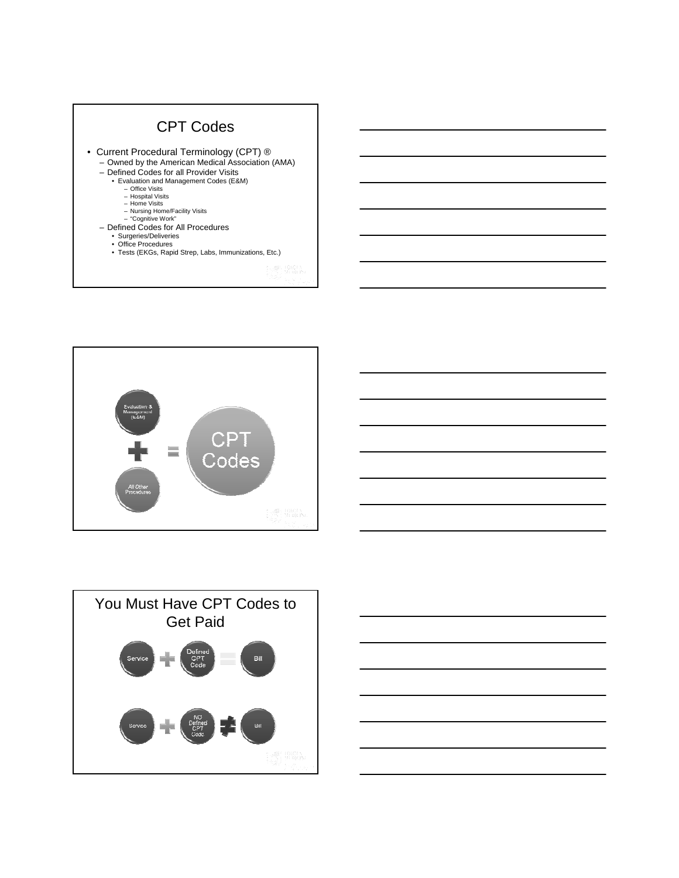







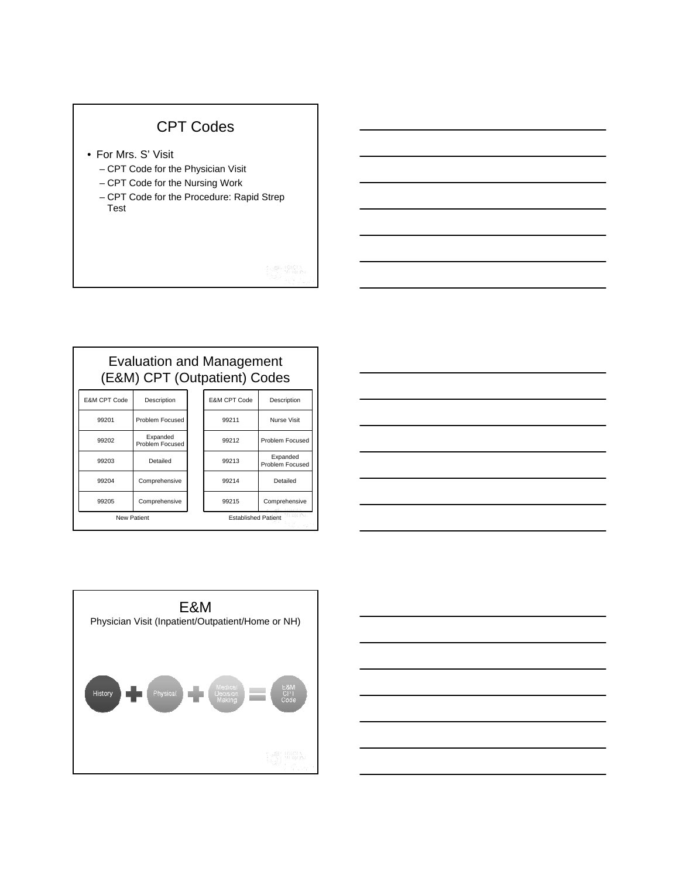## CPT Codes

- For Mrs. S' Visit
	- CPT Code for the Physician Visit
	- CPT Code for the Nursing Work
	- CPT Code for the Procedure: Rapid Strep Test

## Evaluation and Management (E&M) CPT (Outpatient) Codes

| <b>E&amp;M CPT Code</b> | Description                 |  | E&M CPT Code                             | Description                 |  |
|-------------------------|-----------------------------|--|------------------------------------------|-----------------------------|--|
| 99201                   | Problem Focused             |  | 99211                                    | Nurse Visit                 |  |
| 99202                   | Expanded<br>Problem Focused |  | 99212                                    | Problem Focused             |  |
| 99203                   | Detailed                    |  | 99213                                    | Expanded<br>Problem Focused |  |
| 99204                   | Comprehensive               |  | 99214                                    | Detailed                    |  |
| 99205                   | Comprehensive               |  | 99215                                    | Comprehensive               |  |
| <b>New Patient</b>      |                             |  | yn die Per<br><b>Established Patient</b> |                             |  |

| <u> 1989 - Andrea Stadt Britain, amerikansk politik (</u>                                                             |  |  |
|-----------------------------------------------------------------------------------------------------------------------|--|--|
| <u> 1989 - Johann John Stone, markin sanadi ya kutoka mwaka wa 1989 - Amanda alikuwa mwaka wa 1989 - Amanda aliku</u> |  |  |
|                                                                                                                       |  |  |
| <u> 1989 - Johann Barbara, marka a shekara tsa 1989 - An tsa 1989 - An tsa 1989 - An tsa 1989 - An tsa 1989 - An</u>  |  |  |
| <u> 1989 - Andrea Station Barbara, amerikan personal di sebagai personal di sebagai personal di sebagai personal </u> |  |  |
|                                                                                                                       |  |  |
|                                                                                                                       |  |  |
|                                                                                                                       |  |  |

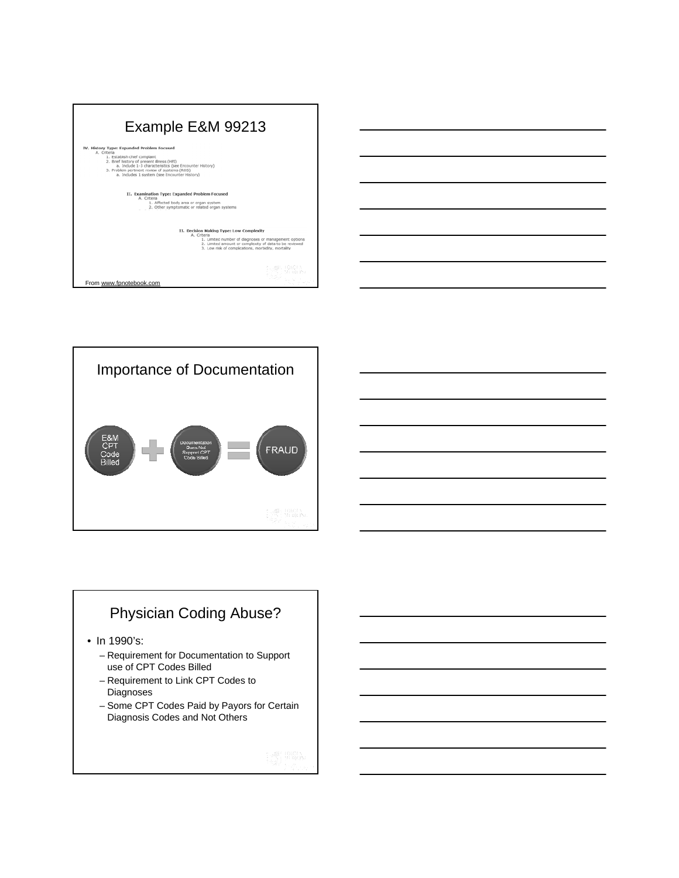

| <u> Andreas Andreas Andreas Andreas Andreas Andreas Andreas Andreas Andreas Andreas Andreas Andreas Andreas Andreas Andreas Andreas Andreas Andreas Andreas Andreas Andreas Andreas Andreas Andreas Andreas Andreas Andreas Andr</u> |  |  |
|--------------------------------------------------------------------------------------------------------------------------------------------------------------------------------------------------------------------------------------|--|--|
|                                                                                                                                                                                                                                      |  |  |
|                                                                                                                                                                                                                                      |  |  |
| <u> Alexandria de la contexta de la contexta de la contexta de la contexta de la contexta de la contexta de la c</u>                                                                                                                 |  |  |
|                                                                                                                                                                                                                                      |  |  |
| $\overline{\phantom{a}}$                                                                                                                                                                                                             |  |  |
|                                                                                                                                                                                                                                      |  |  |
| $\sim$                                                                                                                                                                                                                               |  |  |
|                                                                                                                                                                                                                                      |  |  |
|                                                                                                                                                                                                                                      |  |  |
|                                                                                                                                                                                                                                      |  |  |
|                                                                                                                                                                                                                                      |  |  |
|                                                                                                                                                                                                                                      |  |  |
|                                                                                                                                                                                                                                      |  |  |
|                                                                                                                                                                                                                                      |  |  |

![](_page_5_Figure_2.jpeg)

## Physician Coding Abuse?

- In 1990's:
	- Requirement for Documentation to Support use of CPT Codes Billed
	- Requirement to Link CPT Codes to Diagnoses
	- Some CPT Codes Paid by Payors for Certain Diagnosis Codes and Not Others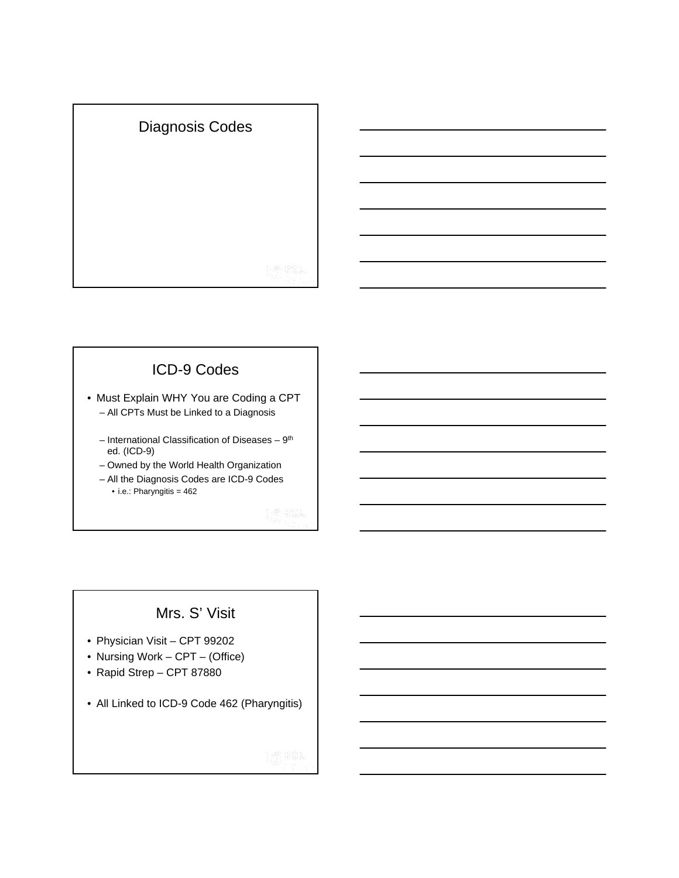![](_page_6_Picture_0.jpeg)

## ICD-9 Codes

- Must Explain WHY You are Coding a CPT – All CPTs Must be Linked to a Diagnosis
	- International Classification of Diseases 9th ed. (ICD-9)
	- Owned by the World Health Organization
	- All the Diagnosis Codes are ICD-9 Codes • i.e.: Pharyngitis = 462

## Mrs. S' Visit

- Physician Visit CPT 99202
- Nursing Work CPT (Office)
- Rapid Strep CPT 87880
- All Linked to ICD-9 Code 462 (Pharyngitis)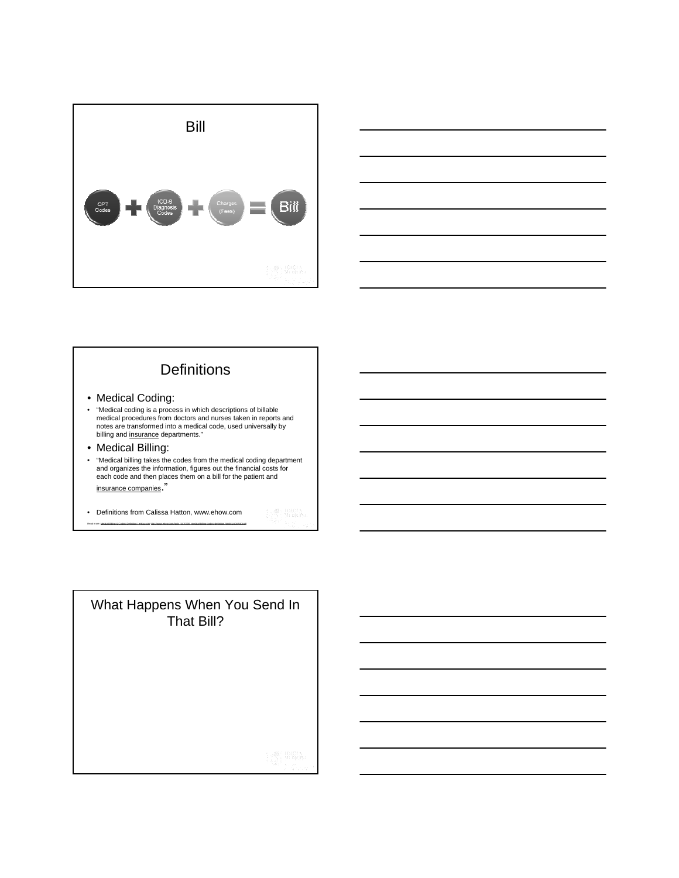![](_page_7_Picture_0.jpeg)

![](_page_7_Figure_1.jpeg)

## **Definitions**

- Medical Coding:
- "Medical coding is a process in which descriptions of billable medical procedures from doctors and nurses taken in reports and notes are transformed into a medical code, used universally by billing and insurance departments."
- Medical Billing:
- "Medical billing takes the codes from the medical coding department and organizes the information, figures out the financial costs for each code and then places them on a bill for the patient and insurance companies."
- Definitions from Calissa Hatton, www.ehow.com Read more: Medical Billing & Coding Definition | eHow.com http://www.ehow.com/facts\_5470706\_medical-billing-coding-definition.html#ixzz0xRdQjrzP

What Happens When You Send In That Bill?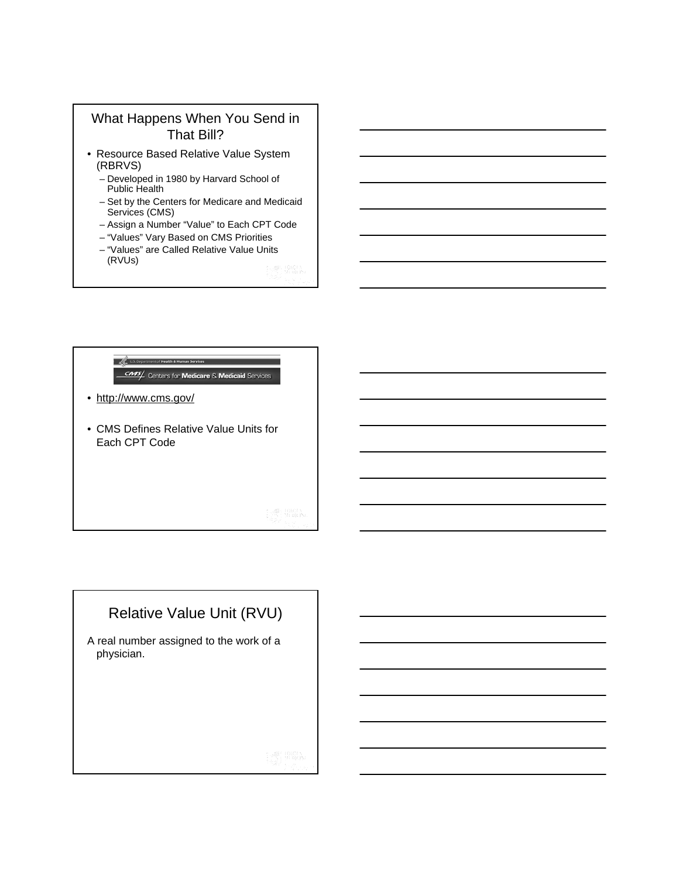### What Happens When You Send in That Bill?

- Resource Based Relative Value System (RBRVS)
	- Developed in 1980 by Harvard School of Public Health
	- Set by the Centers for Medicare and Medicaid Services (CMS)
	- Assign a Number "Value" to Each CPT Code
	- "Values" Vary Based on CMS Priorities
	- "Values" are Called Relative Value Units (RVUs)

### U.S. Department of Health & Human Services **CMS** Centers for Medicare & Medicaid Services

- http://www.cms.gov/
- CMS Defines Relative Value Units for Each CPT Code

# Relative Value Unit (RVU)

A real number assigned to the work of a physician.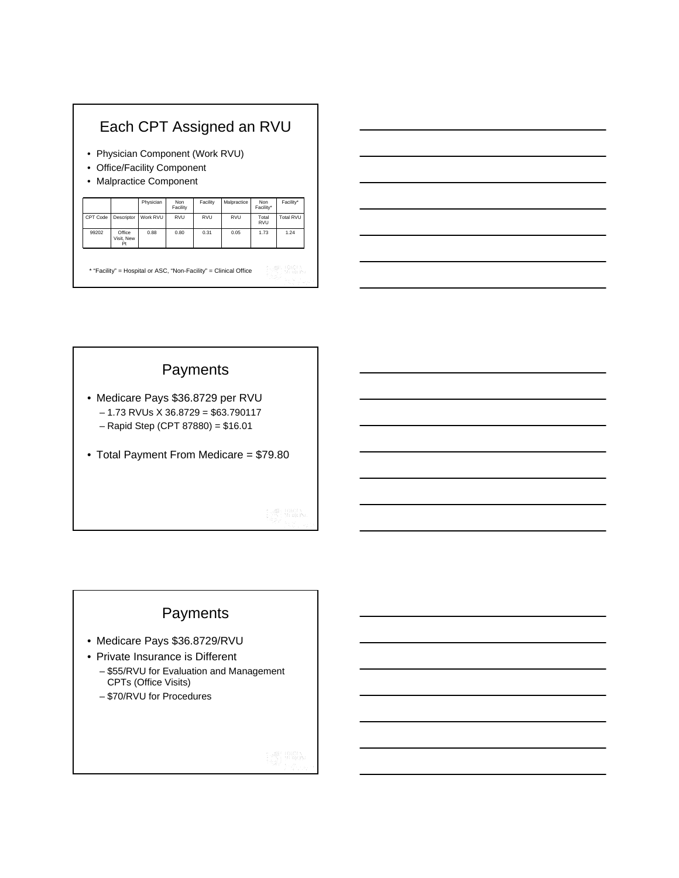## Each CPT Assigned an RVU

- Physician Component (Work RVU)
- Office/Facility Component
- Malpractice Component

| <b>RVU</b><br>CPT Code<br>Descriptor<br>Work RVU<br><b>RVU</b><br><b>RVU</b><br>Total<br><b>RVU</b> | Total RVU |
|-----------------------------------------------------------------------------------------------------|-----------|
|                                                                                                     |           |
| Office<br>99202<br>0.80<br>0.05<br>1.73<br>0.88<br>0.31<br>Visit, New<br>Pt                         | 1.24      |

\* "Facility" = Hospital or ASC, "Non-Facility" = Clinical Office

## Payments

- Medicare Pays \$36.8729 per RVU  $-1.73$  RVUs X 36.8729 = \$63.790117 – Rapid Step (CPT 87880) = \$16.01
- Total Payment From Medicare = \$79.80

## Payments

- Medicare Pays \$36.8729/RVU
- Private Insurance is Different
	- \$55/RVU for Evaluation and Management CPTs (Office Visits)
	- \$70/RVU for Procedures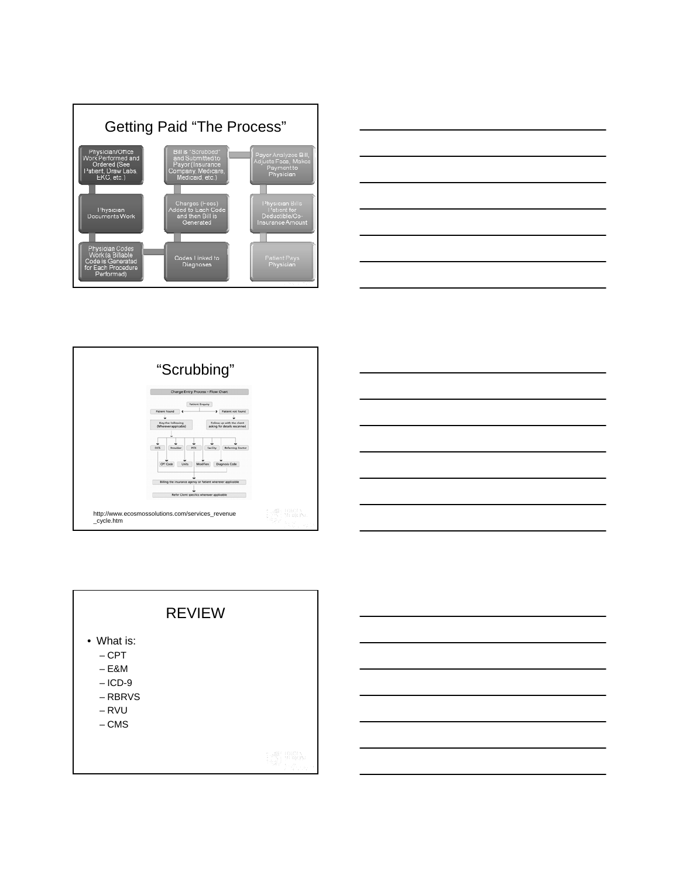![](_page_10_Figure_0.jpeg)

![](_page_10_Figure_1.jpeg)

![](_page_10_Figure_2.jpeg)

![](_page_10_Figure_3.jpeg)

![](_page_10_Figure_4.jpeg)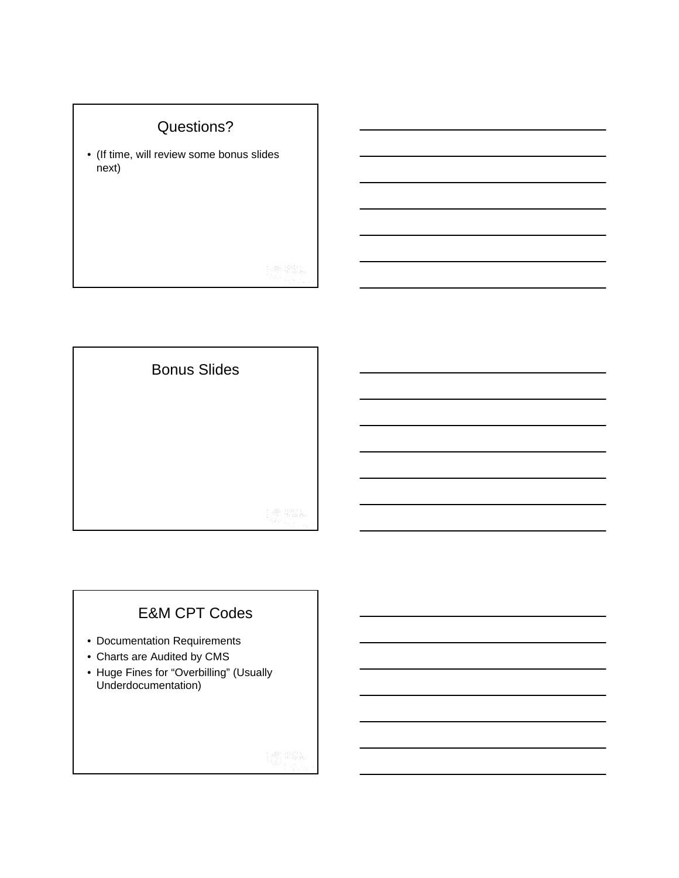![](_page_11_Figure_0.jpeg)

![](_page_11_Picture_1.jpeg)

## E&M CPT Codes

- Documentation Requirements
- Charts are Audited by CMS
- Huge Fines for "Overbilling" (Usually Underdocumentation)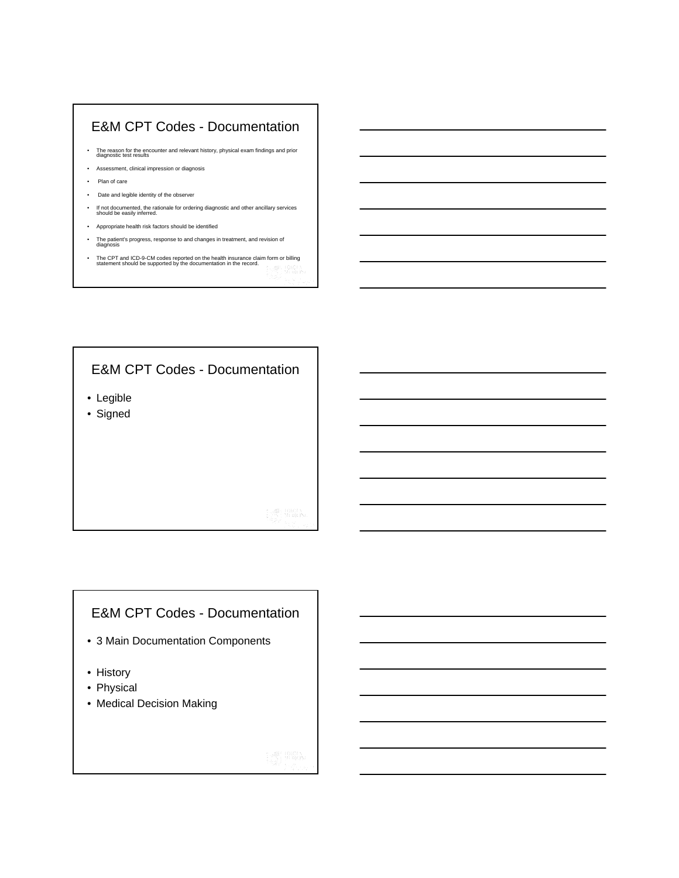### E&M CPT Codes - Documentation

- The reason for the encounter and relevant history, physical exam findings and prior diagnostic test results
- Assessment, clinical impression or diagnosis
- Plan of care
- Date and legible identity of the observer
- If not documented, the rationale for ordering diagnostic and other ancillary services should be easily inferred.
- Appropriate health risk factors should be identified
- The patient's progress, response to and changes in treatment, and revision of diagnosis
- The CPT and ICD-9-CM codes reported on the health insurance claim form or billing statement should be supported by the documentation in the record.

## E&M CPT Codes - Documentation

- Legible
- Signed

### E&M CPT Codes - Documentation

- 3 Main Documentation Components
- History
- Physical
- Medical Decision Making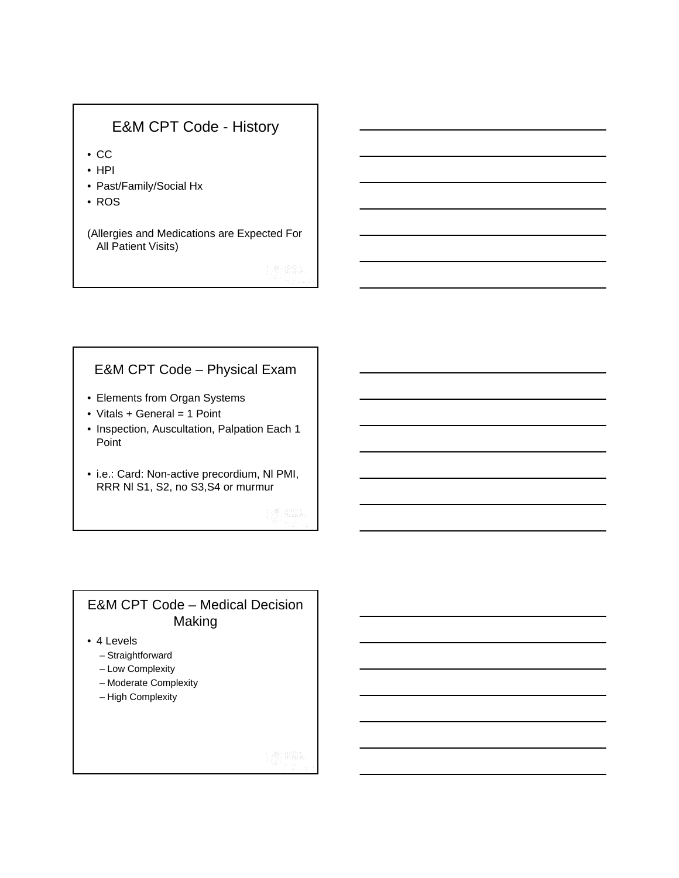## E&M CPT Code - History

- CC
- HPI
- Past/Family/Social Hx
- ROS

(Allergies and Medications are Expected For All Patient Visits)

## E&M CPT Code – Physical Exam

- Elements from Organ Systems
- Vitals + General = 1 Point
- Inspection, Auscultation, Palpation Each 1 Point
- i.e.: Card: Non-active precordium, Nl PMI, RRR Nl S1, S2, no S3,S4 or murmur

### E&M CPT Code – Medical Decision Making

- 4 Levels
	- Straightforward
	- Low Complexity
	- Moderate Complexity
	- High Complexity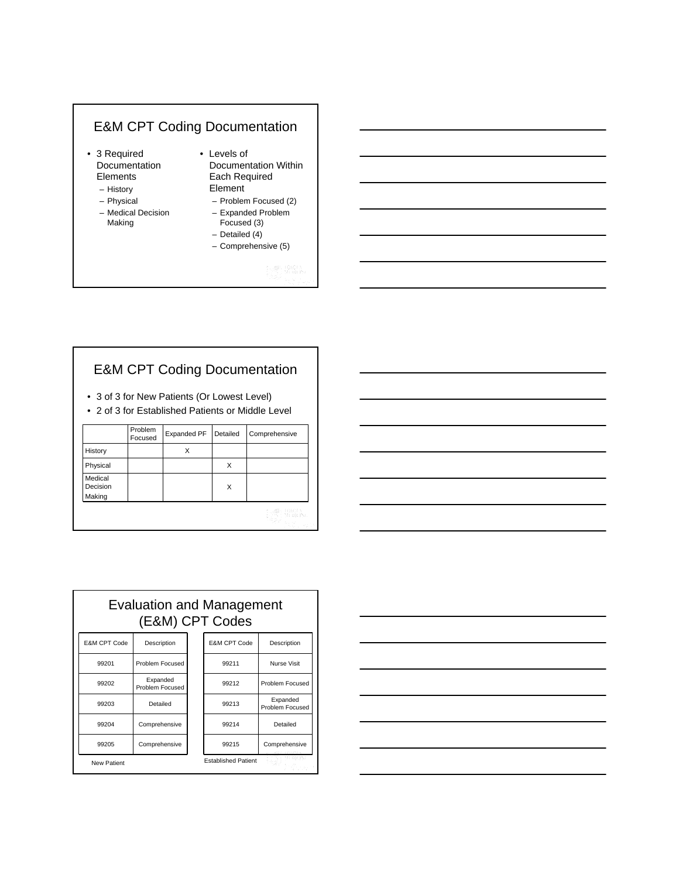## E&M CPT Coding Documentation

- 3 Required Documentation Elements
	- History
	- Physical
	- Medical Decision Making
- Levels of Documentation Within Each Required Element
	- Problem Focused (2)
	- Expanded Problem Focused (3)
	- Detailed (4)
	- Comprehensive (5)

## E&M CPT Coding Documentation

- 3 of 3 for New Patients (Or Lowest Level)
- 2 of 3 for Established Patients or Middle Level

| History<br>x                       |  |
|------------------------------------|--|
|                                    |  |
| Physical<br>X                      |  |
| Medical<br>Decision<br>X<br>Making |  |

| <u> 1980 - Johann Stoff, deutscher Stoff, der Stoff, der Stoff, der Stoff, der Stoff, der Stoff, der Stoff, der S</u> |                                                                            |  | ____             |
|-----------------------------------------------------------------------------------------------------------------------|----------------------------------------------------------------------------|--|------------------|
|                                                                                                                       |                                                                            |  |                  |
| $\sim$                                                                                                                |                                                                            |  | <u>expertise</u> |
| <u> Albany a Carl Communication and the Carl Communication and the Carl Communication and the Carl Communication</u>  |                                                                            |  |                  |
|                                                                                                                       |                                                                            |  | _____            |
|                                                                                                                       | the control of the control of the control of the control of the control of |  |                  |

| <b>Evaluation and Management</b><br>(E&M) CPT Codes |                             |  |                            |                             |  |  |
|-----------------------------------------------------|-----------------------------|--|----------------------------|-----------------------------|--|--|
| E&M CPT Code                                        | Description                 |  | E&M CPT Code               | Description                 |  |  |
| 99201                                               | Problem Focused             |  | 99211                      | Nurse Visit                 |  |  |
| 99202                                               | Expanded<br>Problem Focused |  | 99212                      | Problem Focused             |  |  |
| 99203                                               | Detailed                    |  | 99213                      | Expanded<br>Problem Focused |  |  |
| 99204                                               | Comprehensive               |  | 99214                      | Detailed                    |  |  |
| 99205                                               | Comprehensive               |  | 99215                      | Comprehensive               |  |  |
| <b>New Patient</b>                                  |                             |  | <b>Established Patient</b> |                             |  |  |

![](_page_14_Figure_17.jpeg)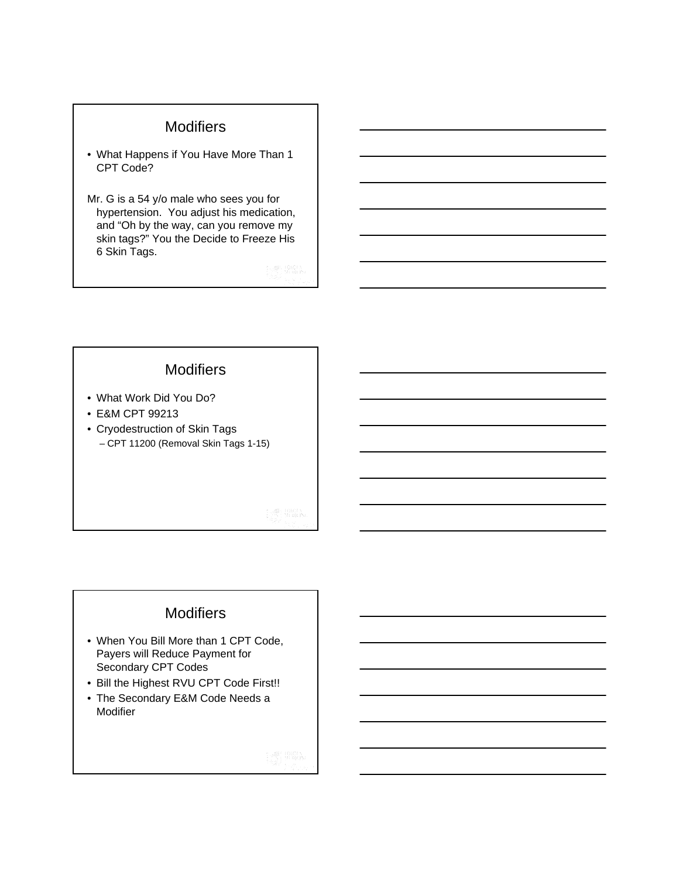### **Modifiers**

- What Happens if You Have More Than 1 CPT Code?
- Mr. G is a 54 y/o male who sees you for hypertension. You adjust his medication, and "Oh by the way, can you remove my skin tags?" You the Decide to Freeze His 6 Skin Tags.

**Modifiers** 

- What Work Did You Do?
- E&M CPT 99213
- Cryodestruction of Skin Tags – CPT 11200 (Removal Skin Tags 1-15)

### **Modifiers**

- When You Bill More than 1 CPT Code, Payers will Reduce Payment for Secondary CPT Codes
- Bill the Highest RVU CPT Code First!!
- The Secondary E&M Code Needs a Modifier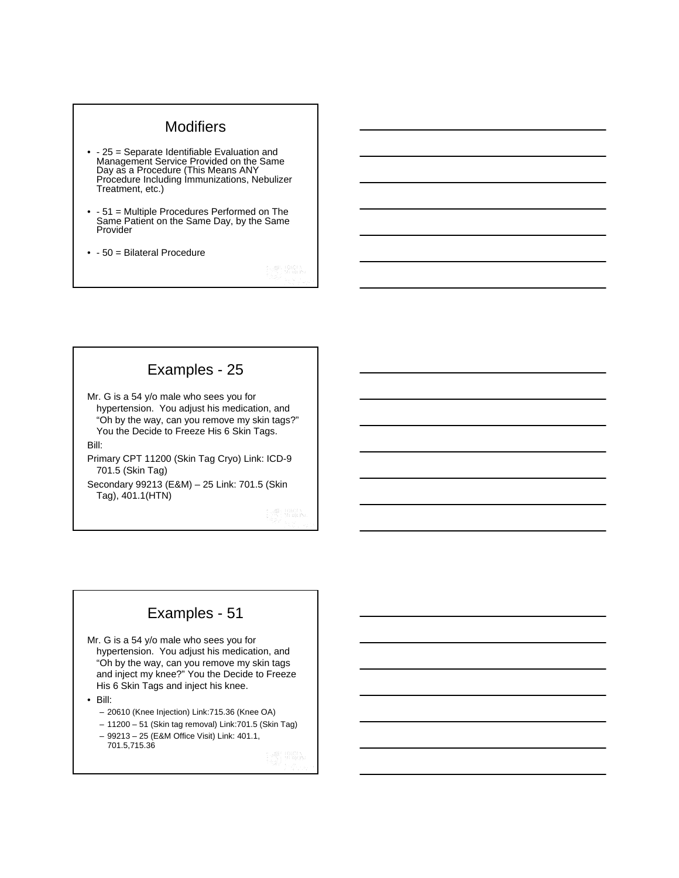### **Modifiers**

- - 25 = Separate Identifiable Evaluation and Management Service Provided on the Same Day as a Procedure (This Means ANY Procedure Including Immunizations, Nebulizer Treatment, etc.)
- - 51 = Multiple Procedures Performed on The Same Patient on the Same Day, by the Same Provider
- - 50 = Bilateral Procedure

## Examples - 25

Mr. G is a 54 y/o male who sees you for hypertension. You adjust his medication, and "Oh by the way, can you remove my skin tags?" You the Decide to Freeze His 6 Skin Tags. Bill:

Primary CPT 11200 (Skin Tag Cryo) Link: ICD-9 701.5 (Skin Tag)

Secondary 99213 (E&M) – 25 Link: 701.5 (Skin Tag), 401.1(HTN)

## Examples - 51

Mr. G is a 54 y/o male who sees you for hypertension. You adjust his medication, and "Oh by the way, can you remove my skin tags and inject my knee?" You the Decide to Freeze His 6 Skin Tags and inject his knee.

• Bill:

- 20610 (Knee Injection) Link:715.36 (Knee OA)
- 11200 51 (Skin tag removal) Link:701.5 (Skin Tag) – 99213 – 25 (E&M Office Visit) Link: 401.1,

701.5,715.36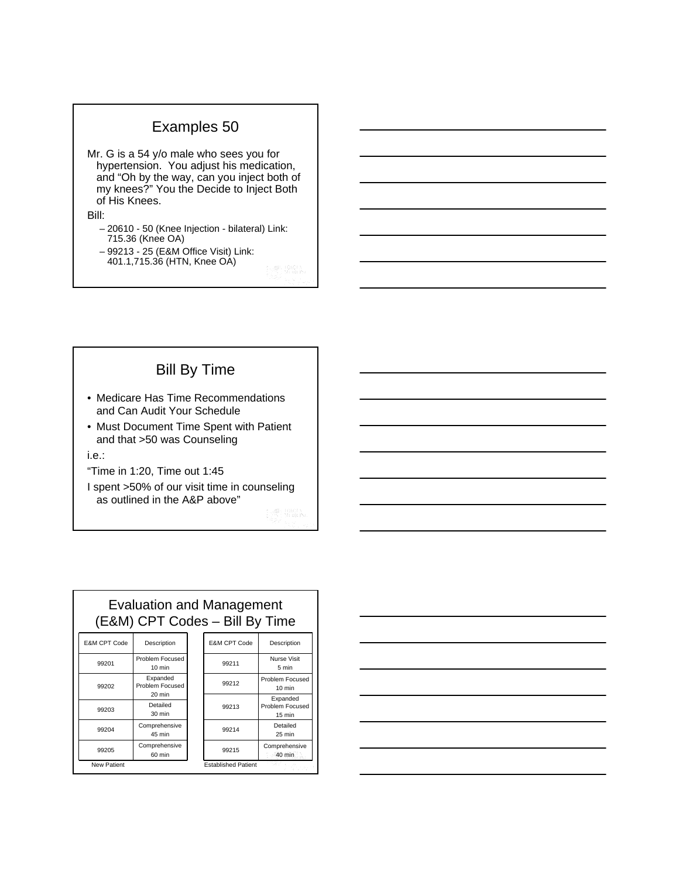## Examples 50

Mr. G is a 54 y/o male who sees you for hypertension. You adjust his medication, and "Oh by the way, can you inject both of my knees?" You the Decide to Inject Both of His Knees.

### Bill:

- 20610 50 (Knee Injection bilateral) Link: 715.36 (Knee OA)
- 99213 25 (E&M Office Visit) Link:
	- 401.1,715.36 (HTN, Knee OA)

# Bill By Time

- Medicare Has Time Recommendations and Can Audit Your Schedule
- Must Document Time Spent with Patient and that >50 was Counseling

### i.e.:

- "Time in 1:20, Time out 1:45
- I spent >50% of our visit time in counseling as outlined in the A&P above"

| <b>Evaluation and Management</b><br>(E&M) CPT Codes - Bill By Time |                                       |  |                            |                                                 |  |
|--------------------------------------------------------------------|---------------------------------------|--|----------------------------|-------------------------------------------------|--|
| <b>E&amp;M CPT Code</b>                                            | Description                           |  | E&M CPT Code               | Description                                     |  |
| 99201                                                              | Problem Focused<br>$10 \text{ min}$   |  | 99211                      | Nurse Visit<br>5 min                            |  |
| 99202                                                              | Expanded<br>Problem Focused<br>20 min |  | 99212                      | Problem Focused<br>$10 \text{ min}$             |  |
| 99203                                                              | Detailed<br>30 min                    |  | 99213                      | Expanded<br>Problem Focused<br>$15 \text{ min}$ |  |
| 99204                                                              | Comprehensive<br>45 min               |  | 99214                      | Detailed<br>25 min                              |  |
| 99205                                                              | Comprehensive<br>60 min               |  | 99215                      | Comprehensive<br>40 min                         |  |
| <b>New Patient</b>                                                 |                                       |  | <b>Established Patient</b> |                                                 |  |

![](_page_17_Figure_14.jpeg)